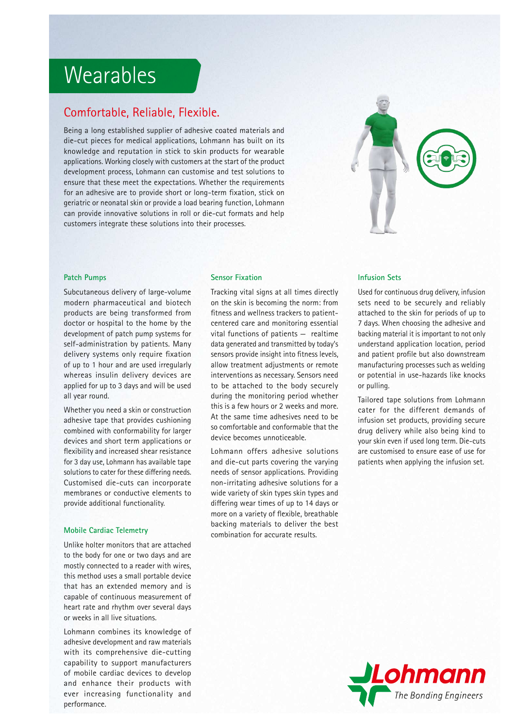## Wearables

## Comfortable, Reliable, Flexible.

Being a long established supplier of adhesive coated materials and die-cut pieces for medical applications, Lohmann has built on its knowledge and reputation in stick to skin products for wearable applications. Working closely with customers at the start of the product development process, Lohmann can customise and test solutions to ensure that these meet the expectations. Whether the requirements for an adhesive are to provide short or long-term fixation, stick on geriatric or neonatal skin or provide a load bearing function, Lohmann can provide innovative solutions in roll or die-cut formats and help customers integrate these solutions into their processes.



#### **Patch Pumps**

Subcutaneous delivery of large-volume modern pharmaceutical and biotech products are being transformed from doctor or hospital to the home by the development of patch pump systems for self-administration by patients. Many delivery systems only require fixation of up to 1 hour and are used irregularly whereas insulin delivery devices are applied for up to 3 days and will be used all year round.

Whether you need a skin or construction adhesive tape that provides cushioning combined with conformability for larger devices and short term applications or flexibility and increased shear resistance for 3 day use, Lohmann has available tape solutions to cater for these differing needs. Customised die-cuts can incorporate membranes or conductive elements to provide additional functionality.

#### **Mobile Cardiac Telemetry**

Unlike holter monitors that are attached to the body for one or two days and are mostly connected to a reader with wires, this method uses a small portable device that has an extended memory and is capable of continuous measurement of heart rate and rhythm over several days or weeks in all live situations.

Lohmann combines its knowledge of adhesive development and raw materials with its comprehensive die-cutting capability to support manufacturers of mobile cardiac devices to develop and enhance their products with ever increasing functionality and performance.

#### **Sensor Fixation**

Tracking vital signs at all times directly on the skin is becoming the norm: from fitness and wellness trackers to patientcentered care and monitoring essential vital functions of patients — realtime data generated and transmitted by today's sensors provide insight into fitness levels, allow treatment adjustments or remote interventions as necessary. Sensors need to be attached to the body securely during the monitoring period whether this is a few hours or 2 weeks and more. At the same time adhesives need to be so comfortable and conformable that the device becomes unnoticeable.

Lohmann offers adhesive solutions and die-cut parts covering the varying needs of sensor applications. Providing non-irritating adhesive solutions for a wide variety of skin types skin types and differing wear times of up to 14 days or more on a variety of flexible, breathable backing materials to deliver the best combination for accurate results.

#### **Infusion Sets**

Used for continuous drug delivery, infusion sets need to be securely and reliably attached to the skin for periods of up to 7 days. When choosing the adhesive and backing material it is important to not only understand application location, period and patient profile but also downstream manufacturing processes such as welding or potential in use-hazards like knocks or pulling.

Tailored tape solutions from Lohmann cater for the different demands of infusion set products, providing secure drug delivery while also being kind to your skin even if used long term. Die-cuts are customised to ensure ease of use for patients when applying the infusion set.